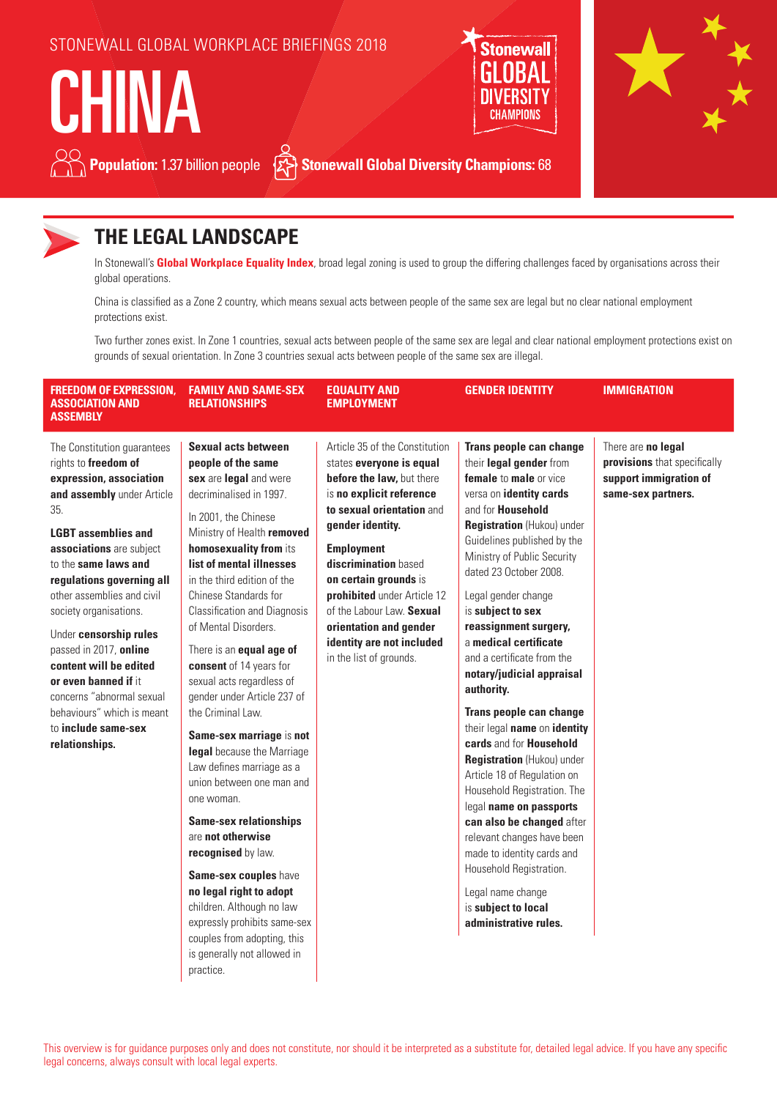## STONEWALL GLOBAL WORKPLACE BRIEFINGS 2018

**Population:** 1.37 billion people  $\{x\}$  Stonewall Global Diversity Champions: 68

# **CHINA**





# **THE LEGAL LANDSCAPE**

In Stonewall's **Global Workplace Equality Index**, broad legal zoning is used to group the differing challenges faced by organisations across their global operations.

China is classified as a Zone 2 country, which means sexual acts between people of the same sex are legal but no clear national employment protections exist.

Two further zones exist. In Zone 1 countries, sexual acts between people of the same sex are legal and clear national employment protections exist on grounds of sexual orientation. In Zone 3 countries sexual acts between people of the same sex are illegal.

| <b>FREEDOM OF EXPRESSION.</b><br>Association and<br><b>ASSEMBLY</b>                                                                                                                                                                                                                                                                                                                                                                                                                                  | <b>FAMILY AND SAME-SEX</b><br><b>RELATIONSHIPS</b>                                                                                                                                                                                                                                                                                                                                                                                                                                                                                                                                                                                                                                                                                                                                                                                                                                         | <b>EQUALITY AND</b><br><b>EMPLOYMENT</b>                                                                                                                                                                                                                                                                                                                                                 | <b>GENDER IDENTITY</b>                                                                                                                                                                                                                                                                                                                                                                                                                                                                                                                                                                                                                                                                                                                                                                                                                        | <b>IMMIGRATION</b>                                                                                 |
|------------------------------------------------------------------------------------------------------------------------------------------------------------------------------------------------------------------------------------------------------------------------------------------------------------------------------------------------------------------------------------------------------------------------------------------------------------------------------------------------------|--------------------------------------------------------------------------------------------------------------------------------------------------------------------------------------------------------------------------------------------------------------------------------------------------------------------------------------------------------------------------------------------------------------------------------------------------------------------------------------------------------------------------------------------------------------------------------------------------------------------------------------------------------------------------------------------------------------------------------------------------------------------------------------------------------------------------------------------------------------------------------------------|------------------------------------------------------------------------------------------------------------------------------------------------------------------------------------------------------------------------------------------------------------------------------------------------------------------------------------------------------------------------------------------|-----------------------------------------------------------------------------------------------------------------------------------------------------------------------------------------------------------------------------------------------------------------------------------------------------------------------------------------------------------------------------------------------------------------------------------------------------------------------------------------------------------------------------------------------------------------------------------------------------------------------------------------------------------------------------------------------------------------------------------------------------------------------------------------------------------------------------------------------|----------------------------------------------------------------------------------------------------|
| The Constitution guarantees<br>rights to freedom of<br>expression, association<br>and assembly under Article<br>35.<br><b>LGBT</b> assemblies and<br>associations are subject<br>to the same laws and<br>regulations governing all<br>other assemblies and civil<br>society organisations.<br>Under censorship rules<br>passed in 2017, online<br>content will be edited<br>or even banned if it<br>concerns "abnormal sexual<br>behaviours" which is meant<br>to include same-sex<br>relationships. | Sexual acts between<br>people of the same<br>sex are legal and were<br>decriminalised in 1997.<br>In 2001, the Chinese<br>Ministry of Health removed<br>homosexuality from its<br>list of mental illnesses<br>in the third edition of the<br>Chinese Standards for<br><b>Classification and Diagnosis</b><br>of Mental Disorders.<br>There is an <b>equal age of</b><br>consent of 14 years for<br>sexual acts regardless of<br>gender under Article 237 of<br>the Criminal Law.<br>Same-sex marriage is not<br>legal because the Marriage<br>Law defines marriage as a<br>union between one man and<br>one woman.<br><b>Same-sex relationships</b><br>are not otherwise<br>recognised by law.<br>Same-sex couples have<br>no legal right to adopt<br>children. Although no law<br>expressly prohibits same-sex<br>couples from adopting, this<br>is generally not allowed in<br>practice. | Article 35 of the Constitution<br>states everyone is equal<br>before the law, but there<br>is no explicit reference<br>to sexual orientation and<br>gender identity.<br><b>Employment</b><br>discrimination based<br>on certain grounds is<br>prohibited under Article 12<br>of the Labour Law. Sexual<br>orientation and gender<br>identity are not included<br>in the list of grounds. | Trans people can change<br>their legal gender from<br>female to male or vice<br>versa on identity cards<br>and for <b>Household</b><br>Registration (Hukou) under<br>Guidelines published by the<br>Ministry of Public Security<br>dated 23 October 2008.<br>Legal gender change<br>is subject to sex<br>reassignment surgery,<br>a medical certificate<br>and a certificate from the<br>notary/judicial appraisal<br>authority.<br>Trans people can change<br>their legal name on identity<br>cards and for Household<br><b>Registration</b> (Hukou) under<br>Article 18 of Regulation on<br>Household Registration. The<br>legal name on passports<br>can also be changed after<br>relevant changes have been<br>made to identity cards and<br>Household Registration.<br>Legal name change<br>is subject to local<br>administrative rules. | There are no legal<br>provisions that specifically<br>support immigration of<br>same-sex partners. |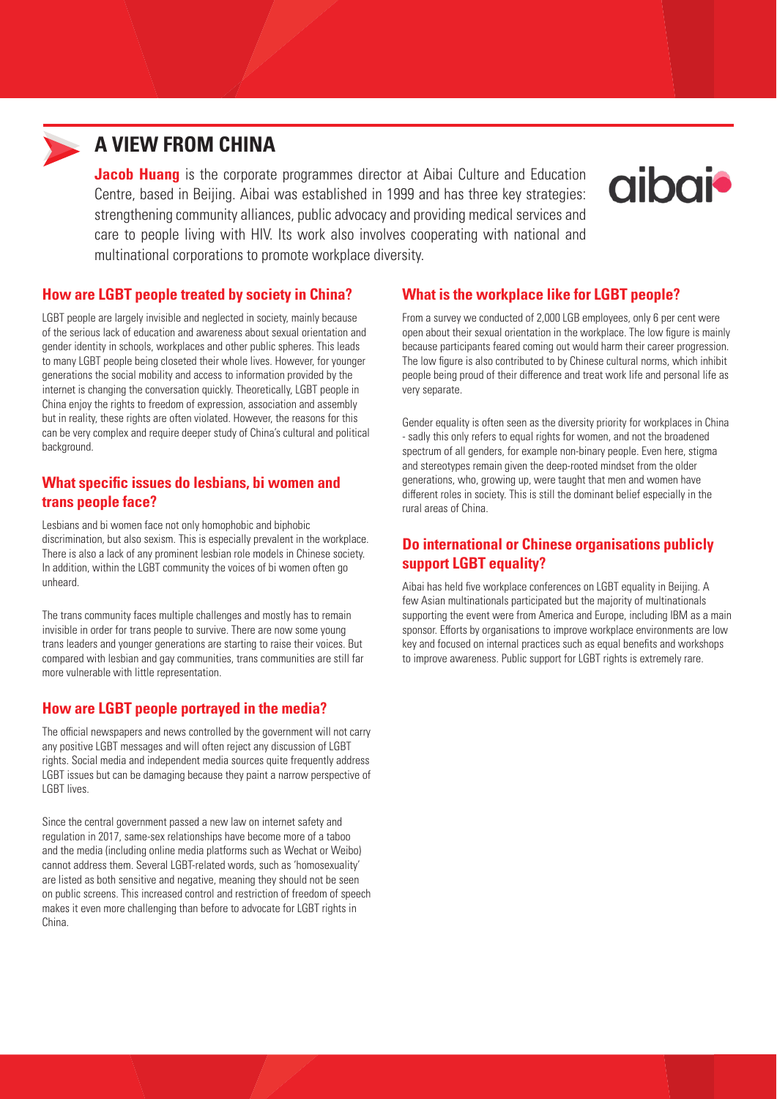

## **A VIEW FROM CHINA**

**Jacob Huang** is the corporate programmes director at Aibai Culture and Education Centre, based in Beijing. Aibai was established in 1999 and has three key strategies: strengthening community alliances, public advocacy and providing medical services and care to people living with HIV. Its work also involves cooperating with national and multinational corporations to promote workplace diversity.



#### **How are LGBT people treated by society in China?**

LGBT people are largely invisible and neglected in society, mainly because of the serious lack of education and awareness about sexual orientation and gender identity in schools, workplaces and other public spheres. This leads to many LGBT people being closeted their whole lives. However, for younger generations the social mobility and access to information provided by the internet is changing the conversation quickly. Theoretically, LGBT people in China enjoy the rights to freedom of expression, association and assembly but in reality, these rights are often violated. However, the reasons for this can be very complex and require deeper study of China's cultural and political background.

#### **What specific issues do lesbians, bi women and trans people face?**

Lesbians and bi women face not only homophobic and biphobic discrimination, but also sexism. This is especially prevalent in the workplace. There is also a lack of any prominent lesbian role models in Chinese society. In addition, within the LGBT community the voices of bi women often go unheard.

The trans community faces multiple challenges and mostly has to remain invisible in order for trans people to survive. There are now some young trans leaders and younger generations are starting to raise their voices. But compared with lesbian and gay communities, trans communities are still far more vulnerable with little representation.

### **How are LGBT people portrayed in the media?**

The official newspapers and news controlled by the government will not carry any positive LGBT messages and will often reject any discussion of LGBT rights. Social media and independent media sources quite frequently address LGBT issues but can be damaging because they paint a narrow perspective of LGBT lives.

Since the central government passed a new law on internet safety and regulation in 2017, same-sex relationships have become more of a taboo and the media (including online media platforms such as Wechat or Weibo) cannot address them. Several LGBT-related words, such as 'homosexuality' are listed as both sensitive and negative, meaning they should not be seen on public screens. This increased control and restriction of freedom of speech makes it even more challenging than before to advocate for LGBT rights in China.

#### **What is the workplace like for LGBT people?**

From a survey we conducted of 2,000 LGB employees, only 6 per cent were open about their sexual orientation in the workplace. The low figure is mainly because participants feared coming out would harm their career progression. The low figure is also contributed to by Chinese cultural norms, which inhibit people being proud of their difference and treat work life and personal life as very separate.

Gender equality is often seen as the diversity priority for workplaces in China - sadly this only refers to equal rights for women, and not the broadened spectrum of all genders, for example non-binary people. Even here, stigma and stereotypes remain given the deep-rooted mindset from the older generations, who, growing up, were taught that men and women have different roles in society. This is still the dominant belief especially in the rural areas of China.

#### **Do international or Chinese organisations publicly support LGBT equality?**

Aibai has held five workplace conferences on LGBT equality in Beijing. A few Asian multinationals participated but the majority of multinationals supporting the event were from America and Europe, including IBM as a main sponsor. Efforts by organisations to improve workplace environments are low key and focused on internal practices such as equal benefits and workshops to improve awareness. Public support for LGBT rights is extremely rare.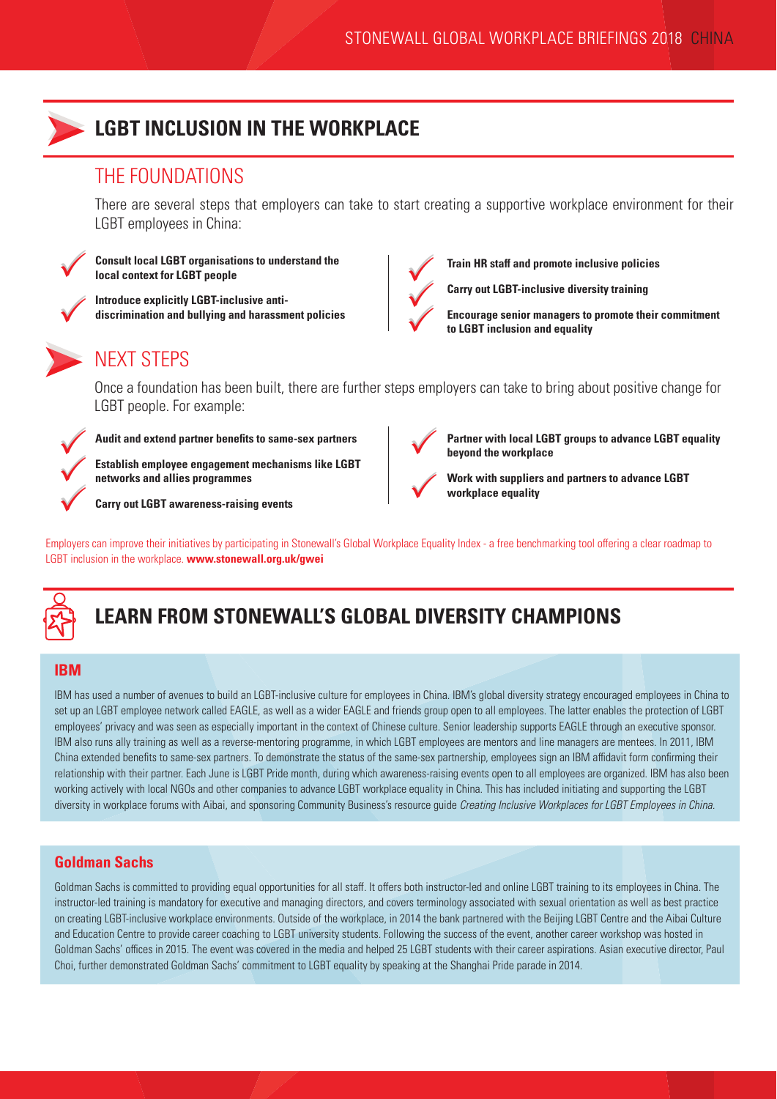

## **LGBT INCLUSION IN THE WORKPLACE**

## THE FOUNDATIONS

There are several steps that employers can take to start creating a supportive workplace environment for their LGBT employees in China:



 $\checkmark$ 

 $\checkmark$ 

**Consult local LGBT organisations to understand the local context for LGBT people**

**Introduce explicitly LGBT-inclusive antidiscrimination and bullying and harassment policies**



## NEXT STEPS

Once a foundation has been built, there are further steps employers can take to bring about positive change for LGBT people. For example:



**Audit and extend partner benefits to same-sex partners**

**Establish employee engagement mechanisms like LGBT networks and allies programmes**

**Carry out LGBT awareness-raising events**



**Train HR staff and promote inclusive policies**

**Carry out LGBT-inclusive diversity training**  $\checkmark$ 

**Encourage senior managers to promote their commitment to LGBT inclusion and equality** 

 $\bigvee$ 

**Partner with local LGBT groups to advance LGBT equality beyond the workplace**



**Work with suppliers and partners to advance LGBT workplace equality**

Employers can improve their initiatives by participating in Stonewall's Global Workplace Equality Index - a free benchmarking tool offering a clear roadmap to LGBT inclusion in the workplace. **www.stonewall.org.uk/gwei**



# **LEARN FROM STONEWALL'S GLOBAL DIVERSITY CHAMPIONS**

### **IBM**

IBM has used a number of avenues to build an LGBT-inclusive culture for employees in China. IBM's global diversity strategy encouraged employees in China to set up an LGBT employee network called EAGLE, as well as a wider EAGLE and friends group open to all employees. The latter enables the protection of LGBT employees' privacy and was seen as especially important in the context of Chinese culture. Senior leadership supports EAGLE through an executive sponsor. IBM also runs ally training as well as a reverse-mentoring programme, in which LGBT employees are mentors and line managers are mentees. In 2011, IBM China extended benefits to same-sex partners. To demonstrate the status of the same-sex partnership, employees sign an IBM affidavit form confirming their relationship with their partner. Each June is LGBT Pride month, during which awareness-raising events open to all employees are organized. IBM has also been working actively with local NGOs and other companies to advance LGBT workplace equality in China. This has included initiating and supporting the LGBT diversity in workplace forums with Aibai, and sponsoring Community Business's resource guide *Creating Inclusive Workplaces for LGBT Employees in China.*

### **Goldman Sachs**

Goldman Sachs is committed to providing equal opportunities for all staff. It offers both instructor-led and online LGBT training to its employees in China. The instructor-led training is mandatory for executive and managing directors, and covers terminology associated with sexual orientation as well as best practice on creating LGBT-inclusive workplace environments. Outside of the workplace, in 2014 the bank partnered with the Beijing LGBT Centre and the Aibai Culture and Education Centre to provide career coaching to LGBT university students. Following the success of the event, another career workshop was hosted in Goldman Sachs' offices in 2015. The event was covered in the media and helped 25 LGBT students with their career aspirations. Asian executive director, Paul Choi, further demonstrated Goldman Sachs' commitment to LGBT equality by speaking at the Shanghai Pride parade in 2014.